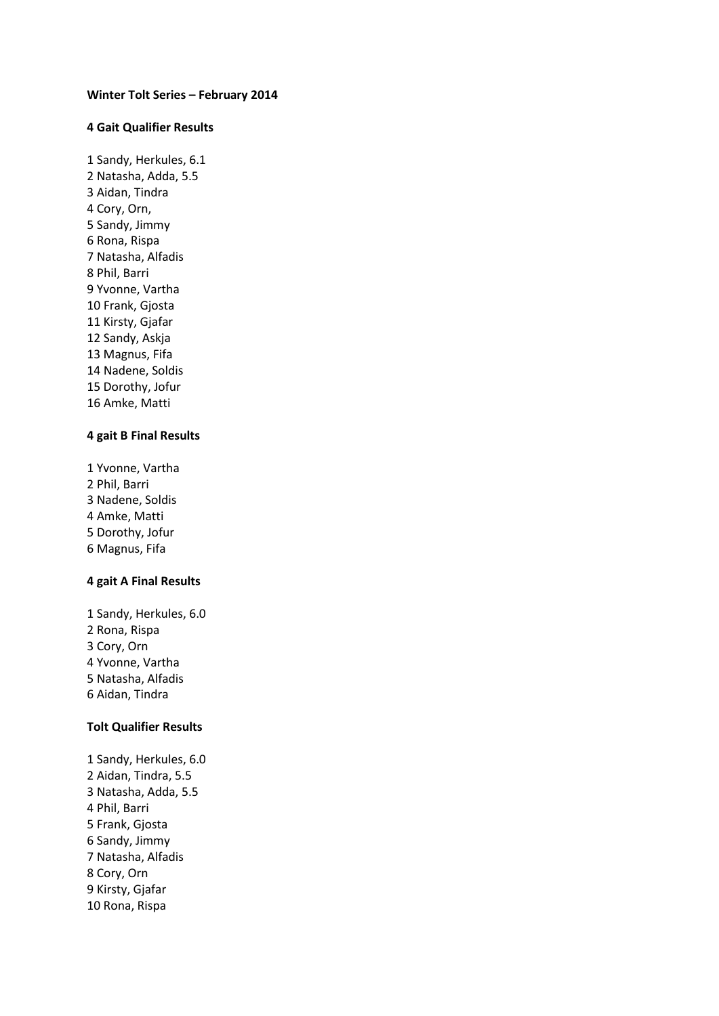#### **Winter Tolt Series – February 2014**

## **4 Gait Qualifier Results**

1 Sandy, Herkules, 6.1 2 Natasha, Adda, 5.5 3 Aidan, Tindra 4 Cory, Orn, 5 Sandy, Jimmy 6 Rona, Rispa 7 Natasha, Alfadis 8 Phil, Barri 9 Yvonne, Vartha 10 Frank, Gjosta 11 Kirsty, Gjafar 12 Sandy, Askja 13 Magnus, Fifa 14 Nadene, Soldis 15 Dorothy, Jofur 16 Amke, Matti

#### **4 gait B Final Results**

1 Yvonne, Vartha Phil, Barri Nadene, Soldis Amke, Matti Dorothy, Jofur 6 Magnus, Fifa

#### **4 gait A Final Results**

1 Sandy, Herkules, 6.0 Rona, Rispa Cory, Orn Yvonne, Vartha Natasha, Alfadis 6 Aidan, Tindra

## **Tolt Qualifier Results**

1 Sandy, Herkules, 6.0 2 Aidan, Tindra, 5.5 3 Natasha, Adda, 5.5 4 Phil, Barri 5 Frank, Gjosta 6 Sandy, Jimmy 7 Natasha, Alfadis 8 Cory, Orn 9 Kirsty, Gjafar 10 Rona, Rispa